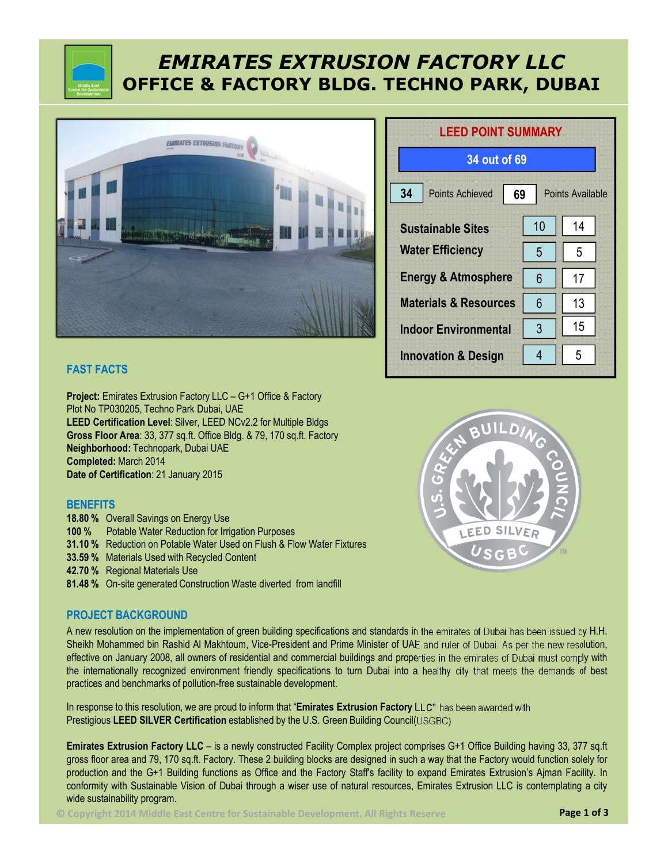# *EMIRATES EXTRUSION FACTORY LLC* **OFFICE & FACTORY BLDG. TECHNO PARK, DUBAI**



## **FAST FACTS**

**Project:** Emirates Extrusion Factory LLC – G+1 Office & Factory Plot No TP030205, Techno Park Dubai, UAE **LEED Certification Level**: Silver, LEED NCv2.2 for Multiple Bldgs **Gross Floor Area**: 33, 377 sq.ft. Office Bldg. & 79, 170 sq.ft. Factory **Neighborhood:** Technopark, Dubai UAE **Completed:** March 2014 **Date of Certification**: 21 January 2015

### **BENEFITS**

- **18.80 %** Overall Savings on Energy Use
- **100 %** Potable Water Reduction for Irrigation Purposes
- **31.10 %** Reduction on Potable Water Used on Flush & Flow Water Fixtures
- **33.59 %** Materials Used with Recycled Content
- **42.70 %** Regional Materials Use
- **81.48 %** On-site generated Construction Waste diverted from landfill

### **PROJECT BACKGROUND**

A new resolution on the implementation of green building specifications and standards in the emirates of Dubai has been issued by H.H. Sheikh Mohammed bin Rashid Al Makhtoum, Vice-President and Prime Minister of UAE and ruler of Dubai. As per the new resolution, effective on January 2008, all owners of residential and commercial buildings and properties in the emirates of Dubai must comply with the internationally recognized environment friendly specifications to turn Dubai into a healthy city that meets the demands of best practices and benchmarks of pollution-free sustainable development.

In response to this resolution, we are proud to inform that "**Emirates Extrusion Factory LLC"** has been awarded with Prestigious **LEED SILVER Certification** established by the U.S. Green Building Council(USGBC)

**Emirates Extrusion Factory LLC** – is a newly constructed Facility Complex project comprises G+1 Office Building having 33, 377 sq.ft gross floor area and 79, 170 sq.ft. Factory. These 2 building blocks are designed in such a way that the Factory would function solely for production and the G+1 Building functions as Office and the Factory Staff's facility to expand Emirates Extrusion's Ajman Facility. In conformity with Sustainable Vision of Dubai through a wiser use of natural resources, Emirates Extrusion LLC is contemplating a city wide sustainability program.

**© Copyright 2014 Middle East Centre for Sustainable Development. All Rights Reserve Page 1 of 3**

| <b>LEED POINT SUMMARY</b>                                     |    |    |  |
|---------------------------------------------------------------|----|----|--|
| 34 out of 69                                                  |    |    |  |
| 34<br><b>Points Achieved</b><br><b>Points Available</b><br>69 |    |    |  |
| <b>Sustainable Sites</b>                                      | 10 | 14 |  |
| <b>Water Efficiency</b>                                       | 5  | 5  |  |
| <b>Energy &amp; Atmosphere</b>                                | 6  | 17 |  |
| <b>Materials &amp; Resources</b>                              | 6  | 13 |  |
| <b>Indoor Environmental</b>                                   | 3  | 15 |  |
| <b>Innovation &amp; Design</b>                                | 4  | 5  |  |